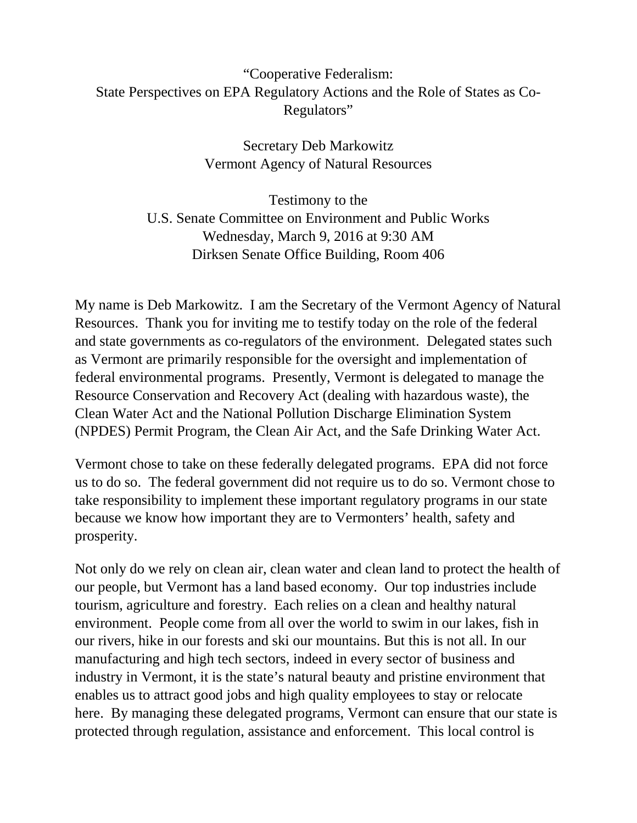# "Cooperative Federalism: State Perspectives on EPA Regulatory Actions and the Role of States as Co-Regulators"

Secretary Deb Markowitz Vermont Agency of Natural Resources

Testimony to the U.S. Senate Committee on Environment and Public Works Wednesday, March 9, 2016 at 9:30 AM Dirksen Senate Office Building, Room 406

My name is Deb Markowitz. I am the Secretary of the Vermont Agency of Natural Resources. Thank you for inviting me to testify today on the role of the federal and state governments as co-regulators of the environment. Delegated states such as Vermont are primarily responsible for the oversight and implementation of federal environmental programs. Presently, Vermont is delegated to manage the Resource Conservation and Recovery Act (dealing with hazardous waste), the Clean Water Act and the National Pollution Discharge Elimination System (NPDES) Permit Program, the Clean Air Act, and the Safe Drinking Water Act.

Vermont chose to take on these federally delegated programs. EPA did not force us to do so. The federal government did not require us to do so. Vermont chose to take responsibility to implement these important regulatory programs in our state because we know how important they are to Vermonters' health, safety and prosperity.

Not only do we rely on clean air, clean water and clean land to protect the health of our people, but Vermont has a land based economy. Our top industries include tourism, agriculture and forestry. Each relies on a clean and healthy natural environment. People come from all over the world to swim in our lakes, fish in our rivers, hike in our forests and ski our mountains. But this is not all. In our manufacturing and high tech sectors, indeed in every sector of business and industry in Vermont, it is the state's natural beauty and pristine environment that enables us to attract good jobs and high quality employees to stay or relocate here. By managing these delegated programs, Vermont can ensure that our state is protected through regulation, assistance and enforcement. This local control is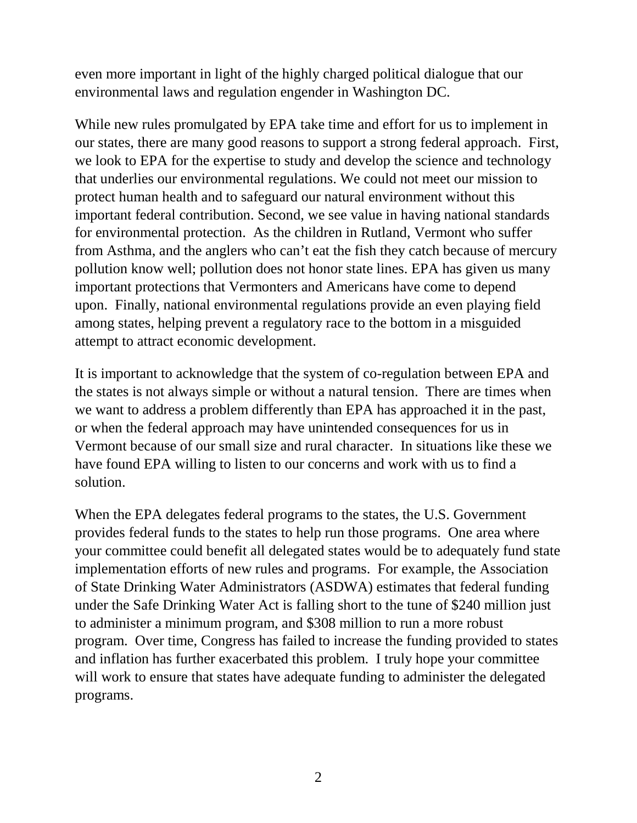even more important in light of the highly charged political dialogue that our environmental laws and regulation engender in Washington DC.

While new rules promulgated by EPA take time and effort for us to implement in our states, there are many good reasons to support a strong federal approach. First, we look to EPA for the expertise to study and develop the science and technology that underlies our environmental regulations. We could not meet our mission to protect human health and to safeguard our natural environment without this important federal contribution. Second, we see value in having national standards for environmental protection. As the children in Rutland, Vermont who suffer from Asthma, and the anglers who can't eat the fish they catch because of mercury pollution know well; pollution does not honor state lines. EPA has given us many important protections that Vermonters and Americans have come to depend upon. Finally, national environmental regulations provide an even playing field among states, helping prevent a regulatory race to the bottom in a misguided attempt to attract economic development.

It is important to acknowledge that the system of co-regulation between EPA and the states is not always simple or without a natural tension. There are times when we want to address a problem differently than EPA has approached it in the past, or when the federal approach may have unintended consequences for us in Vermont because of our small size and rural character. In situations like these we have found EPA willing to listen to our concerns and work with us to find a solution.

When the EPA delegates federal programs to the states, the U.S. Government provides federal funds to the states to help run those programs. One area where your committee could benefit all delegated states would be to adequately fund state implementation efforts of new rules and programs. For example, the Association of State Drinking Water Administrators (ASDWA) estimates that federal funding under the Safe Drinking Water Act is falling short to the tune of \$240 million just to administer a minimum program, and \$308 million to run a more robust program. Over time, Congress has failed to increase the funding provided to states and inflation has further exacerbated this problem. I truly hope your committee will work to ensure that states have adequate funding to administer the delegated programs.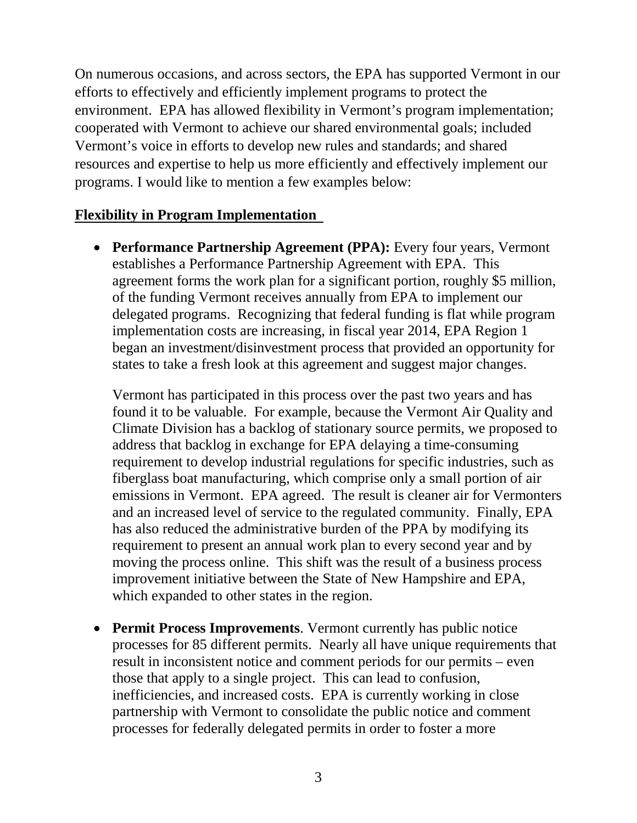On numerous occasions, and across sectors, the EPA has supported Vermont in our efforts to effectively and efficiently implement programs to protect the environment. EPA has allowed flexibility in Vermont's program implementation; cooperated with Vermont to achieve our shared environmental goals; included Vermont's voice in efforts to develop new rules and standards; and shared resources and expertise to help us more efficiently and effectively implement our programs. I would like to mention a few examples below:

### **Flexibility in Program Implementation**

• **Performance Partnership Agreement (PPA):** Every four years, Vermont establishes a Performance Partnership Agreement with EPA. This agreement forms the work plan for a significant portion, roughly \$5 million, of the funding Vermont receives annually from EPA to implement our delegated programs. Recognizing that federal funding is flat while program implementation costs are increasing, in fiscal year 2014, EPA Region 1 began an investment/disinvestment process that provided an opportunity for states to take a fresh look at this agreement and suggest major changes.

Vermont has participated in this process over the past two years and has found it to be valuable. For example, because the Vermont Air Quality and Climate Division has a backlog of stationary source permits, we proposed to address that backlog in exchange for EPA delaying a time-consuming requirement to develop industrial regulations for specific industries, such as fiberglass boat manufacturing, which comprise only a small portion of air emissions in Vermont. EPA agreed. The result is cleaner air for Vermonters and an increased level of service to the regulated community. Finally, EPA has also reduced the administrative burden of the PPA by modifying its requirement to present an annual work plan to every second year and by moving the process online. This shift was the result of a business process improvement initiative between the State of New Hampshire and EPA, which expanded to other states in the region.

• **Permit Process Improvements**. Vermont currently has public notice processes for 85 different permits. Nearly all have unique requirements that result in inconsistent notice and comment periods for our permits – even those that apply to a single project. This can lead to confusion, inefficiencies, and increased costs. EPA is currently working in close partnership with Vermont to consolidate the public notice and comment processes for federally delegated permits in order to foster a more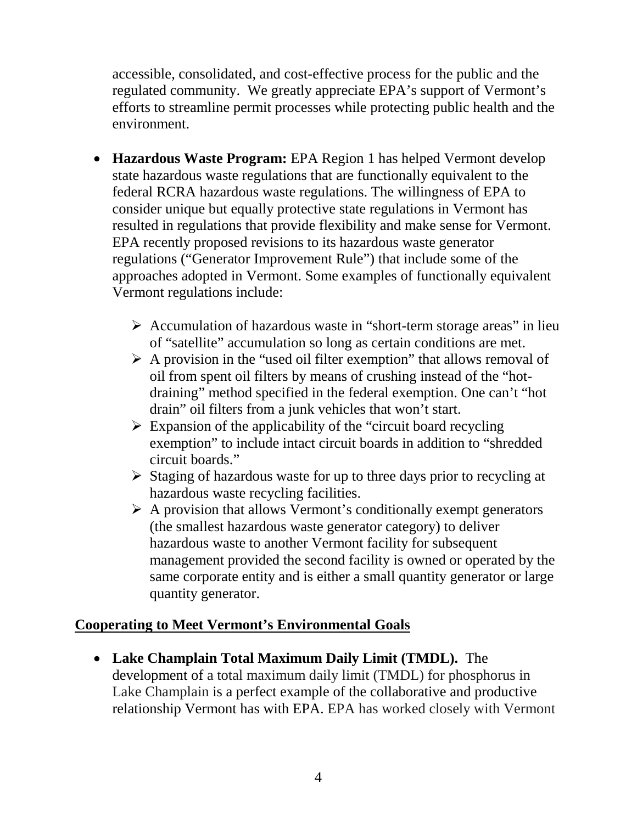accessible, consolidated, and cost-effective process for the public and the regulated community. We greatly appreciate EPA's support of Vermont's efforts to streamline permit processes while protecting public health and the environment.

- **Hazardous Waste Program:** EPA Region 1 has helped Vermont develop state hazardous waste regulations that are functionally equivalent to the federal RCRA hazardous waste regulations. The willingness of EPA to consider unique but equally protective state regulations in Vermont has resulted in regulations that provide flexibility and make sense for Vermont. EPA recently proposed revisions to its hazardous waste generator regulations ("Generator Improvement Rule") that include some of the approaches adopted in Vermont. Some examples of functionally equivalent Vermont regulations include:
	- $\triangleright$  Accumulation of hazardous waste in "short-term storage areas" in lieu of "satellite" accumulation so long as certain conditions are met.
	- $\triangleright$  A provision in the "used oil filter exemption" that allows removal of oil from spent oil filters by means of crushing instead of the "hotdraining" method specified in the federal exemption. One can't "hot drain" oil filters from a junk vehicles that won't start.
	- $\triangleright$  Expansion of the applicability of the "circuit board recycling" exemption" to include intact circuit boards in addition to "shredded circuit boards."
	- $\triangleright$  Staging of hazardous waste for up to three days prior to recycling at hazardous waste recycling facilities.
	- $\triangleright$  A provision that allows Vermont's conditionally exempt generators (the smallest hazardous waste generator category) to deliver hazardous waste to another Vermont facility for subsequent management provided the second facility is owned or operated by the same corporate entity and is either a small quantity generator or large quantity generator.

# **Cooperating to Meet Vermont's Environmental Goals**

• **Lake Champlain Total Maximum Daily Limit (TMDL).** The development of a total maximum daily limit (TMDL) for phosphorus in Lake Champlain is a perfect example of the collaborative and productive relationship Vermont has with EPA. EPA has worked closely with Vermont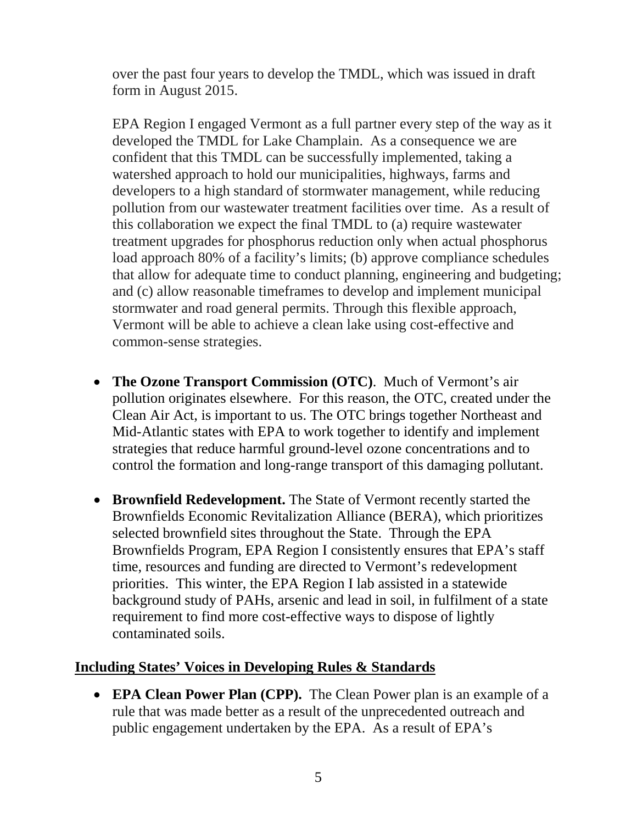over the past four years to develop the TMDL, which was issued in draft form in August 2015.

EPA Region I engaged Vermont as a full partner every step of the way as it developed the TMDL for Lake Champlain. As a consequence we are confident that this TMDL can be successfully implemented, taking a watershed approach to hold our municipalities, highways, farms and developers to a high standard of stormwater management, while reducing pollution from our wastewater treatment facilities over time. As a result of this collaboration we expect the final TMDL to (a) require wastewater treatment upgrades for phosphorus reduction only when actual phosphorus load approach 80% of a facility's limits; (b) approve compliance schedules that allow for adequate time to conduct planning, engineering and budgeting; and (c) allow reasonable timeframes to develop and implement municipal stormwater and road general permits. Through this flexible approach, Vermont will be able to achieve a clean lake using cost-effective and common-sense strategies.

- **The Ozone Transport Commission (OTC)**. Much of Vermont's air pollution originates elsewhere. For this reason, the OTC, created under the Clean Air Act, is important to us. The OTC brings together Northeast and Mid-Atlantic states with EPA to work together to identify and implement strategies that reduce harmful ground-level ozone concentrations and to control the formation and long-range transport of this damaging pollutant.
- **Brownfield Redevelopment.** The State of Vermont recently started the Brownfields Economic Revitalization Alliance (BERA), which prioritizes selected brownfield sites throughout the State. Through the EPA Brownfields Program, EPA Region I consistently ensures that EPA's staff time, resources and funding are directed to Vermont's redevelopment priorities. This winter, the EPA Region I lab assisted in a statewide background study of PAHs, arsenic and lead in soil, in fulfilment of a state requirement to find more cost-effective ways to dispose of lightly contaminated soils.

## **Including States' Voices in Developing Rules & Standards**

• **EPA Clean Power Plan (CPP).** The Clean Power plan is an example of a rule that was made better as a result of the unprecedented outreach and public engagement undertaken by the EPA. As a result of EPA's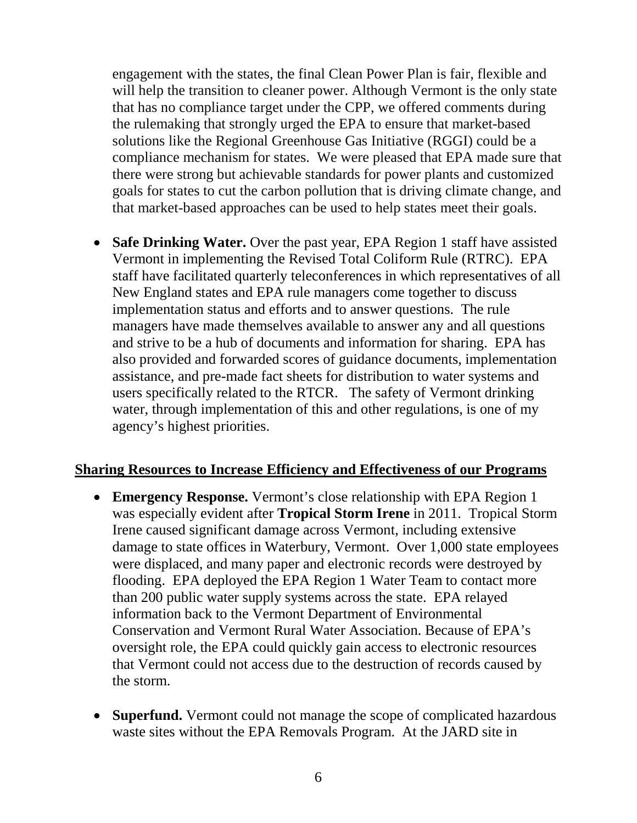engagement with the states, the final Clean Power Plan is fair, flexible and will help the transition to cleaner power. Although Vermont is the only state that has no compliance target under the CPP, we offered comments during the rulemaking that strongly urged the EPA to ensure that market-based solutions like the Regional Greenhouse Gas Initiative (RGGI) could be a compliance mechanism for states. We were pleased that EPA made sure that there were strong but achievable standards for power plants and customized goals for states to cut the carbon pollution that is driving climate change, and that market-based approaches can be used to help states meet their goals.

• **Safe Drinking Water.** Over the past year, EPA Region 1 staff have assisted Vermont in implementing the Revised Total Coliform Rule (RTRC). EPA staff have facilitated quarterly teleconferences in which representatives of all New England states and EPA rule managers come together to discuss implementation status and efforts and to answer questions. The rule managers have made themselves available to answer any and all questions and strive to be a hub of documents and information for sharing. EPA has also provided and forwarded scores of guidance documents, implementation assistance, and pre-made fact sheets for distribution to water systems and users specifically related to the RTCR. The safety of Vermont drinking water, through implementation of this and other regulations, is one of my agency's highest priorities.

#### **Sharing Resources to Increase Efficiency and Effectiveness of our Programs**

- **Emergency Response.** Vermont's close relationship with EPA Region 1 was especially evident after **Tropical Storm Irene** in 2011. Tropical Storm Irene caused significant damage across Vermont, including extensive damage to state offices in Waterbury, Vermont. Over 1,000 state employees were displaced, and many paper and electronic records were destroyed by flooding. EPA deployed the EPA Region 1 Water Team to contact more than 200 public water supply systems across the state. EPA relayed information back to the Vermont Department of Environmental Conservation and Vermont Rural Water Association. Because of EPA's oversight role, the EPA could quickly gain access to electronic resources that Vermont could not access due to the destruction of records caused by the storm.
- **Superfund.** Vermont could not manage the scope of complicated hazardous waste sites without the EPA Removals Program. At the JARD site in